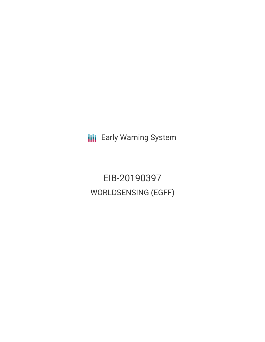**III** Early Warning System

EIB-20190397 WORLDSENSING (EGFF)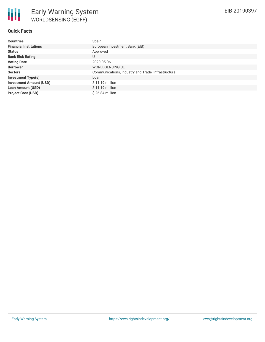## **Quick Facts**

| <b>Countries</b>               | Spain                                              |  |  |  |
|--------------------------------|----------------------------------------------------|--|--|--|
| <b>Financial Institutions</b>  | European Investment Bank (EIB)                     |  |  |  |
| <b>Status</b>                  | Approved                                           |  |  |  |
| <b>Bank Risk Rating</b>        | U                                                  |  |  |  |
| <b>Voting Date</b>             | 2020-05-06                                         |  |  |  |
| <b>Borrower</b>                | <b>WORLDSENSING SL</b>                             |  |  |  |
| <b>Sectors</b>                 | Communications, Industry and Trade, Infrastructure |  |  |  |
| <b>Investment Type(s)</b>      | Loan                                               |  |  |  |
| <b>Investment Amount (USD)</b> | $$11.19$ million                                   |  |  |  |
| <b>Loan Amount (USD)</b>       | $$11.19$ million                                   |  |  |  |
| <b>Project Cost (USD)</b>      | $$26.84$ million                                   |  |  |  |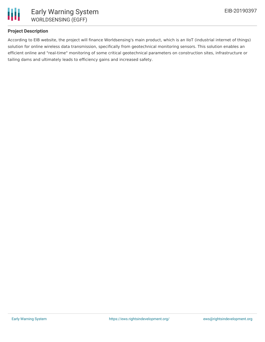

## **Project Description**

According to EIB website, the project will finance Worldsensing's main product, which is an IIoT (industrial internet of things) solution for online wireless data transmission, specifically from geotechnical monitoring sensors. This solution enables an efficient online and "real-time" monitoring of some critical geotechnical parameters on construction sites, infrastructure or tailing dams and ultimately leads to efficiency gains and increased safety.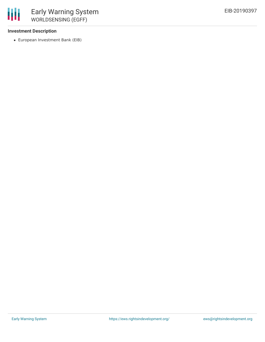#### **Investment Description**

冊

European Investment Bank (EIB)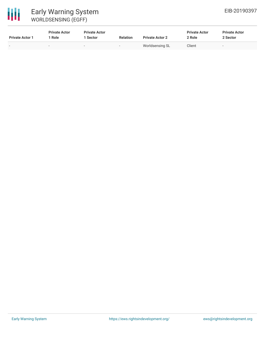

| <b>Private Actor 1</b> | <b>Private Actor</b><br>Role | <b>Private Actor</b><br>1 Sector | <b>Relation</b>          | <b>Private Actor 2</b> | <b>Private Actor</b><br>2 Role | <b>Private Actor</b><br>2 Sector |
|------------------------|------------------------------|----------------------------------|--------------------------|------------------------|--------------------------------|----------------------------------|
| -                      | -                            | $\overline{\phantom{a}}$         | $\overline{\phantom{0}}$ | Worldsensing SL        | Client                         |                                  |